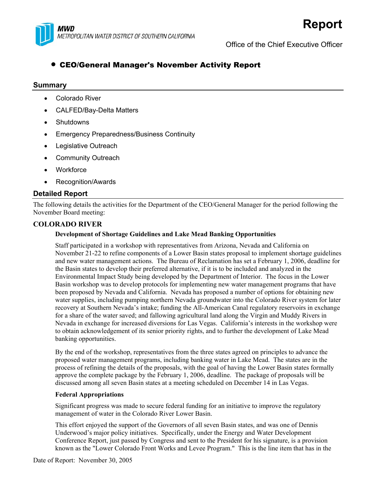

Office of the Chief Executive Officer

# • CEO/General Manager's November Activity Report

#### **Summary**

- Colorado River
- CALFED/Bay-Delta Matters
- Shutdowns
- Emergency Preparedness/Business Continuity
- Legislative Outreach
- Community Outreach
- **Workforce**
- Recognition/Awards

#### **Detailed Report**

The following details the activities for the Department of the CEO/General Manager for the period following the November Board meeting:

#### **COLORADO RIVER**

#### **Development of Shortage Guidelines and Lake Mead Banking Opportunities**

Staff participated in a workshop with representatives from Arizona, Nevada and California on November 21-22 to refine components of a Lower Basin states proposal to implement shortage guidelines and new water management actions. The Bureau of Reclamation has set a February 1, 2006, deadline for the Basin states to develop their preferred alternative, if it is to be included and analyzed in the Environmental Impact Study being developed by the Department of Interior. The focus in the Lower Basin workshop was to develop protocols for implementing new water management programs that have been proposed by Nevada and California. Nevada has proposed a number of options for obtaining new water supplies, including pumping northern Nevada groundwater into the Colorado River system for later recovery at Southern Nevada's intake; funding the All-American Canal regulatory reservoirs in exchange for a share of the water saved; and fallowing agricultural land along the Virgin and Muddy Rivers in Nevada in exchange for increased diversions for Las Vegas. California's interests in the workshop were to obtain acknowledgement of its senior priority rights, and to further the development of Lake Mead banking opportunities.

By the end of the workshop, representatives from the three states agreed on principles to advance the proposed water management programs, including banking water in Lake Mead. The states are in the process of refining the details of the proposals, with the goal of having the Lower Basin states formally approve the complete package by the February 1, 2006, deadline. The package of proposals will be discussed among all seven Basin states at a meeting scheduled on December 14 in Las Vegas.

#### **Federal Appropriations**

Significant progress was made to secure federal funding for an initiative to improve the regulatory management of water in the Colorado River Lower Basin.

This effort enjoyed the support of the Governors of all seven Basin states, and was one of Dennis Underwood's major policy initiatives. Specifically, under the Energy and Water Development Conference Report, just passed by Congress and sent to the President for his signature, is a provision known as the "Lower Colorado Front Works and Levee Program." This is the line item that has in the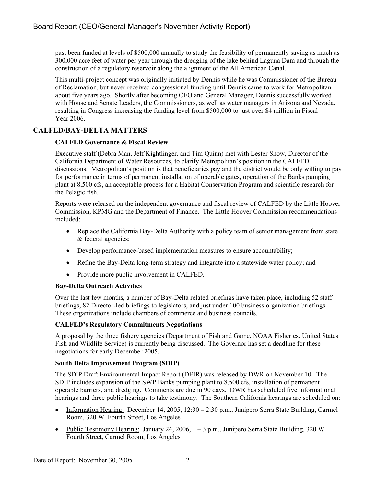past been funded at levels of \$500,000 annually to study the feasibility of permanently saving as much as 300,000 acre feet of water per year through the dredging of the lake behind Laguna Dam and through the construction of a regulatory reservoir along the alignment of the All American Canal.

This multi-project concept was originally initiated by Dennis while he was Commissioner of the Bureau of Reclamation, but never received congressional funding until Dennis came to work for Metropolitan about five years ago. Shortly after becoming CEO and General Manager, Dennis successfully worked with House and Senate Leaders, the Commissioners, as well as water managers in Arizona and Nevada, resulting in Congress increasing the funding level from \$500,000 to just over \$4 million in Fiscal Year 2006.

## **CALFED/BAY-DELTA MATTERS**

#### **CALFED Governance & Fiscal Review**

Executive staff (Debra Man, Jeff Kightlinger, and Tim Quinn) met with Lester Snow, Director of the California Department of Water Resources, to clarify Metropolitan's position in the CALFED discussions. Metropolitan's position is that beneficiaries pay and the district would be only willing to pay for performance in terms of permanent installation of operable gates, operation of the Banks pumping plant at 8,500 cfs, an acceptable process for a Habitat Conservation Program and scientific research for the Pelagic fish.

Reports were released on the independent governance and fiscal review of CALFED by the Little Hoover Commission, KPMG and the Department of Finance. The Little Hoover Commission recommendations included:

- Replace the California Bay-Delta Authority with a policy team of senior management from state & federal agencies;
- Develop performance-based implementation measures to ensure accountability;
- Refine the Bay-Delta long-term strategy and integrate into a statewide water policy; and
- Provide more public involvement in CALFED.

#### **Bay-Delta Outreach Activities**

Over the last few months, a number of Bay-Delta related briefings have taken place, including 52 staff briefings, 82 Director-led briefings to legislators, and just under 100 business organization briefings. These organizations include chambers of commerce and business councils.

#### **CALFED's Regulatory Commitments Negotiations**

A proposal by the three fishery agencies (Department of Fish and Game, NOAA Fisheries, United States Fish and Wildlife Service) is currently being discussed. The Governor has set a deadline for these negotiations for early December 2005.

#### **South Delta Improvement Program (SDIP)**

The SDIP Draft Environmental Impact Report (DEIR) was released by DWR on November 10. The SDIP includes expansion of the SWP Banks pumping plant to 8,500 cfs, installation of permanent operable barriers, and dredging. Comments are due in 90 days. DWR has scheduled five informational hearings and three public hearings to take testimony. The Southern California hearings are scheduled on:

- Information Hearing: December 14, 2005,  $12:30 2:30$  p.m., Junipero Serra State Building, Carmel Room, 320 W. Fourth Street, Los Angeles
- Public Testimony Hearing: January 24, 2006, 1 3 p.m., Junipero Serra State Building, 320 W. Fourth Street, Carmel Room, Los Angeles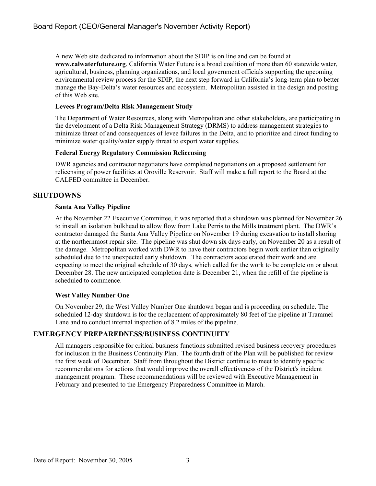A new Web site dedicated to information about the SDIP is on line and can be found at **www.calwaterfuture.org**. California Water Future is a broad coalition of more than 60 statewide water, agricultural, business, planning organizations, and local government officials supporting the upcoming environmental review process for the SDIP, the next step forward in California's long-term plan to better manage the Bay-Delta's water resources and ecosystem. Metropolitan assisted in the design and posting of this Web site.

#### **Levees Program/Delta Risk Management Study**

The Department of Water Resources, along with Metropolitan and other stakeholders, are participating in the development of a Delta Risk Management Strategy (DRMS) to address management strategies to minimize threat of and consequences of levee failures in the Delta, and to prioritize and direct funding to minimize water quality/water supply threat to export water supplies.

#### **Federal Energy Regulatory Commission Relicensing**

DWR agencies and contractor negotiators have completed negotiations on a proposed settlement for relicensing of power facilities at Oroville Reservoir. Staff will make a full report to the Board at the CALFED committee in December.

## **SHUTDOWNS**

#### **Santa Ana Valley Pipeline**

At the November 22 Executive Committee, it was reported that a shutdown was planned for November 26 to install an isolation bulkhead to allow flow from Lake Perris to the Mills treatment plant. The DWR's contractor damaged the Santa Ana Valley Pipeline on November 19 during excavation to install shoring at the northernmost repair site. The pipeline was shut down six days early, on November 20 as a result of the damage. Metropolitan worked with DWR to have their contractors begin work earlier than originally scheduled due to the unexpected early shutdown. The contractors accelerated their work and are expecting to meet the original schedule of 30 days, which called for the work to be complete on or about December 28. The new anticipated completion date is December 21, when the refill of the pipeline is scheduled to commence.

## **West Valley Number One**

On November 29, the West Valley Number One shutdown began and is proceeding on schedule. The scheduled 12-day shutdown is for the replacement of approximately 80 feet of the pipeline at Trammel Lane and to conduct internal inspection of 8.2 miles of the pipeline.

## **EMERGENCY PREPAREDNESS/BUSINESS CONTINUITY**

All managers responsible for critical business functions submitted revised business recovery procedures for inclusion in the Business Continuity Plan. The fourth draft of the Plan will be published for review the first week of December. Staff from throughout the District continue to meet to identify specific recommendations for actions that would improve the overall effectiveness of the District's incident management program. These recommendations will be reviewed with Executive Management in February and presented to the Emergency Preparedness Committee in March.